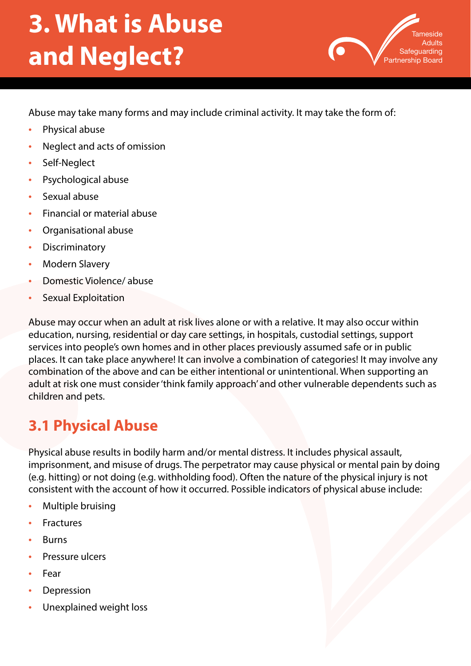# **3. What is Abuse and Neglect?**



Abuse may take many forms and may include criminal activity. It may take the form of:

- Physical abuse
- Neglect and acts of omission
- Self-Neglect
- Psychological abuse
- Sexual abuse
- Financial or material abuse
- Organisational abuse
- **Discriminatory**
- Modern Slavery
- Domestic Violence/ abuse
- Sexual Exploitation

Abuse may occur when an adult at risk lives alone or with a relative. It may also occur within education, nursing, residential or day care settings, in hospitals, custodial settings, support services into people's own homes and in other places previously assumed safe or in public places. It can take place anywhere! It can involve a combination of categories! It may involve any combination of the above and can be either intentional or unintentional. When supporting an adult at risk one must consider 'think family approach' and other vulnerable dependents such as children and pets.

## **3.1 Physical Abuse**

Physical abuse results in bodily harm and/or mental distress. It includes physical assault, imprisonment, and misuse of drugs. The perpetrator may cause physical or mental pain by doing (e.g. hitting) or not doing (e.g. withholding food). Often the nature of the physical injury is not consistent with the account of how it occurred. Possible indicators of physical abuse include:

- Multiple bruising
- **Fractures**
- **Burns**
- Pressure ulcers
- Fear
- **Depression**
- Unexplained weight loss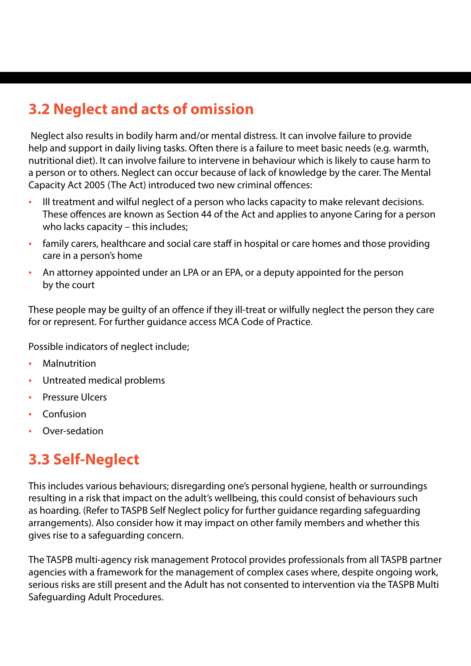## **3.2 Neglect and acts of omission**

 Neglect also results in bodily harm and/or mental distress. It can involve failure to provide help and support in daily living tasks. Often there is a failure to meet basic needs (e.g. warmth, nutritional diet). It can involve failure to intervene in behaviour which is likely to cause harm to a person or to others. Neglect can occur because of lack of knowledge by the carer. The Mental Capacity Act 2005 (The Act) introduced two new criminal offences:

- Ill treatment and wilful neglect of a person who lacks capacity to make relevant decisions. These offences are known as Section 44 of the Act and applies to anyone Caring for a person who lacks capacity – this includes;
- family carers, healthcare and social care staff in hospital or care homes and those providing care in a person's home
- An attorney appointed under an LPA or an EPA, or a deputy appointed for the person by the court

These people may be guilty of an offence if they ill-treat or wilfully neglect the person they care for or represent. For further guidance access MCA Code of Practice.

Possible indicators of neglect include;

- **Malnutrition**
- Untreated medical problems
- Pressure Ulcers
- Confusion
- Over-sedation

#### **3.3 Self-Neglect**

This includes various behaviours; disregarding one's personal hygiene, health or surroundings resulting in a risk that impact on the adult's wellbeing, this could consist of behaviours such as hoarding. (Refer to TASPB Self Neglect policy for further guidance regarding safeguarding arrangements). Also consider how it may impact on other family members and whether this gives rise to a safeguarding concern.

The TASPB multi-agency risk management Protocol provides professionals from all TASPB partner agencies with a framework for the management of complex cases where, despite ongoing work, serious risks are still present and the Adult has not consented to intervention via the TASPB Multi Safeguarding Adult Procedures.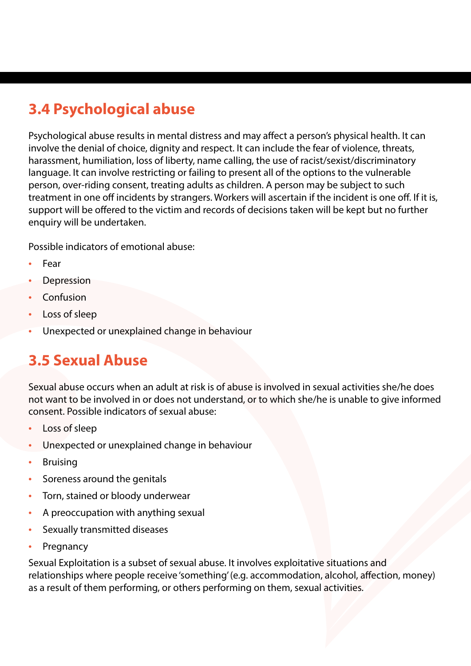## **3.4 Psychological abuse**

Psychological abuse results in mental distress and may affect a person's physical health. It can involve the denial of choice, dignity and respect. It can include the fear of violence, threats, harassment, humiliation, loss of liberty, name calling, the use of racist/sexist/discriminatory language. It can involve restricting or failing to present all of the options to the vulnerable person, over-riding consent, treating adults as children. A person may be subject to such treatment in one off incidents by strangers. Workers will ascertain if the incident is one off. If it is, support will be offered to the victim and records of decisions taken will be kept but no further enquiry will be undertaken.

Possible indicators of emotional abuse:

- Fear
- **Depression**
- **Confusion**
- Loss of sleep
- Unexpected or unexplained change in behaviour

#### **3.5 Sexual Abuse**

Sexual abuse occurs when an adult at risk is of abuse is involved in sexual activities she/he does not want to be involved in or does not understand, or to which she/he is unable to give informed consent. Possible indicators of sexual abuse:

- Loss of sleep
- Unexpected or unexplained change in behaviour
- **Bruising**
- Soreness around the genitals
- Torn, stained or bloody underwear
- A preoccupation with anything sexual
- Sexually transmitted diseases
- **Pregnancy**

Sexual Exploitation is a subset of sexual abuse. It involves exploitative situations and relationships where people receive 'something' (e.g. accommodation, alcohol, affection, money) as a result of them performing, or others performing on them, sexual activities.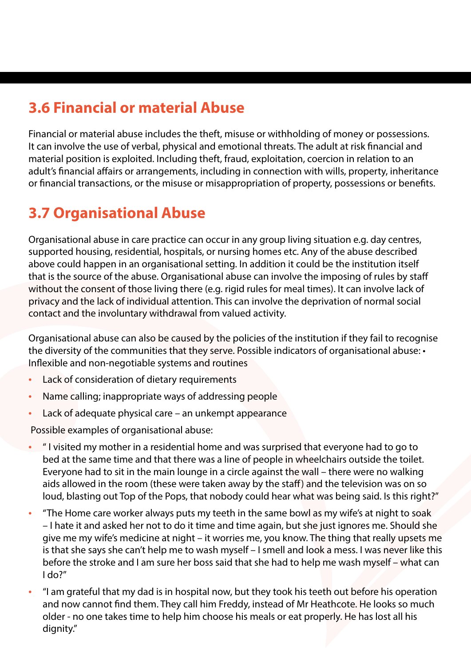### **3.6 Financial or material Abuse**

Financial or material abuse includes the theft, misuse or withholding of money or possessions. It can involve the use of verbal, physical and emotional threats. The adult at risk financial and material position is exploited. Including theft, fraud, exploitation, coercion in relation to an adult's financial affairs or arrangements, including in connection with wills, property, inheritance or financial transactions, or the misuse or misappropriation of property, possessions or benefits.

### **3.7 Organisational Abuse**

Organisational abuse in care practice can occur in any group living situation e.g. day centres, supported housing, residential, hospitals, or nursing homes etc. Any of the abuse described above could happen in an organisational setting. In addition it could be the institution itself that is the source of the abuse. Organisational abuse can involve the imposing of rules by staff without the consent of those living there (e.g. rigid rules for meal times). It can involve lack of privacy and the lack of individual attention. This can involve the deprivation of normal social contact and the involuntary withdrawal from valued activity.

Organisational abuse can also be caused by the policies of the institution if they fail to recognise the diversity of the communities that they serve. Possible indicators of organisational abuse: • Inflexible and non-negotiable systems and routines

- Lack of consideration of dietary requirements
- Name calling; inappropriate ways of addressing people
- Lack of adequate physical care an unkempt appearance

Possible examples of organisational abuse:

- " I visited my mother in a residential home and was surprised that everyone had to go to bed at the same time and that there was a line of people in wheelchairs outside the toilet. Everyone had to sit in the main lounge in a circle against the wall – there were no walking aids allowed in the room (these were taken away by the staff) and the television was on so loud, blasting out Top of the Pops, that nobody could hear what was being said. Is this right?"
- "The Home care worker always puts my teeth in the same bowl as my wife's at night to soak – I hate it and asked her not to do it time and time again, but she just ignores me. Should she give me my wife's medicine at night – it worries me, you know. The thing that really upsets me is that she says she can't help me to wash myself – I smell and look a mess. I was never like this before the stroke and I am sure her boss said that she had to help me wash myself – what can I do?"
- "I am grateful that my dad is in hospital now, but they took his teeth out before his operation and now cannot find them. They call him Freddy, instead of Mr Heathcote. He looks so much older - no one takes time to help him choose his meals or eat properly. He has lost all his dignity."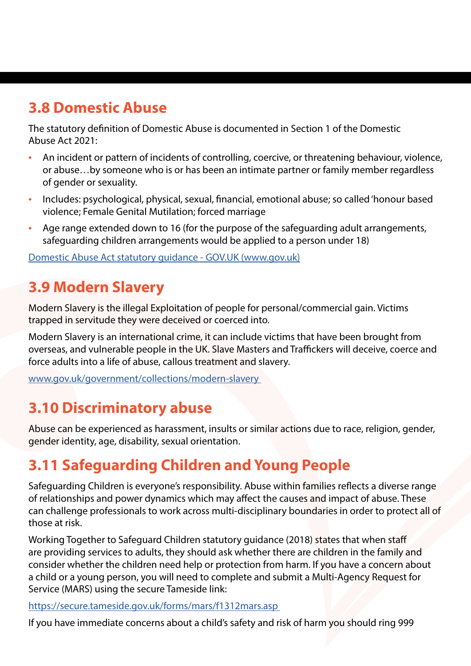#### **3.8 Domestic Abuse**

The statutory definition of Domestic Abuse is documented in Section 1 of the Domestic Abuse Act 2021:

- An incident or pattern of incidents of controlling, coercive, or threatening behaviour, violence, or abuse…by someone who is or has been an intimate partner or family member regardless of gender or sexuality.
- Includes: psychological, physical, sexual, financial, emotional abuse; so called 'honour based violence; Female Genital Mutilation; forced marriage
- Age range extended down to 16 (for the purpose of the safeguarding adult arrangements, safeguarding children arrangements would be applied to a person under 18)

[Domestic Abuse Act statutory guidance - GOV.UK \(www.gov.uk\)](https://www.gov.uk/government/consultations/domestic-abuse-act-statutory-guidance)

#### **3.9 Modern Slavery**

Modern Slavery is the illegal Exploitation of people for personal/commercial gain. Victims trapped in servitude they were deceived or coerced into.

Modern Slavery is an international crime, it can include victims that have been brought from overseas, and vulnerable people in the UK. Slave Masters and Traffickers will deceive, coerce and force adults into a life of abuse, callous treatment and slavery.

[www.gov.uk/government/collections/modern-slavery](http://www.gov.uk/government/collections/modern-slavery) 

#### **3.10 Discriminatory abuse**

Abuse can be experienced as harassment, insults or similar actions due to race, religion, gender, gender identity, age, disability, sexual orientation.

## **3.11 Safeguarding Children and Young People**

Safeguarding Children is everyone's responsibility. Abuse within families reflects a diverse range of relationships and power dynamics which may affect the causes and impact of abuse. These can challenge professionals to work across multi-disciplinary boundaries in order to protect all of those at risk.

Working Together to Safeguard Children statutory guidance (2018) states that when staff are providing services to adults, they should ask whether there are children in the family and consider whether the children need help or protection from harm. If you have a concern about a child or a young person, you will need to complete and submit a Multi-Agency Request for Service (MARS) using the secure Tameside link:

<https://secure.tameside.gov.uk/forms/mars/f1312mars.asp>

If you have immediate concerns about a child's safety and risk of harm you should ring 999